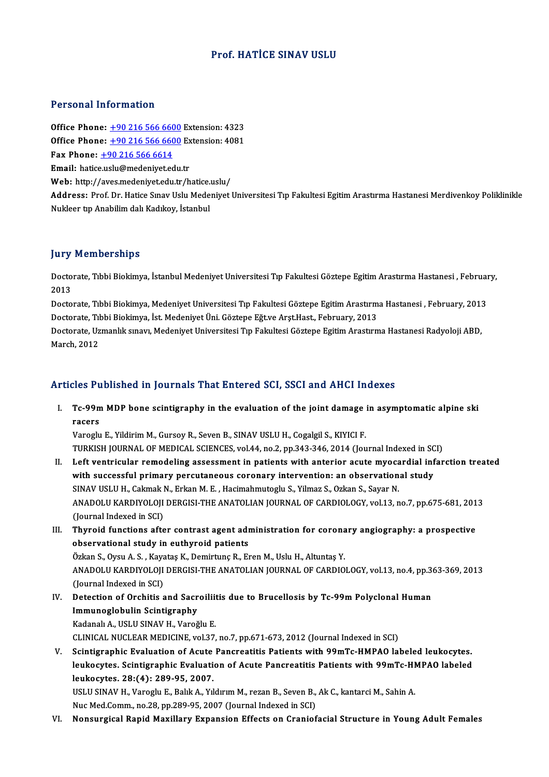## Prof. HATİCE SINAV USLU

### Personal Information

Office Phone: +90 216 566 6600 Extension: 4323 **Office Phone:** +90 216 566 6600 Extension: 4323<br>Office Phone: +90 216 566 6600 Extension: 4081<br>Eav Phone: +90 216 566 6600 Extension: 4081 Office Phone: <u>+90 216 566 660</u><br>Office Phone: <u>+90 216 566 660</u><br>Fax Phone: <u>+90 216 566 6614</u><br>Email: batise uslu@modeniyat.or Office Phone:  $\pm 90\ 216\ 566\ 6600$  Ex<br>Fax Phone:  $\pm 90\ 216\ 566\ 6614$ <br>Email: hatic[e.uslu@medeniyet.e](tel:+90 216 566 6614)[du](tel:+90 216 566 6600).tr<br>Web: http://aves.medeniyet.edu.tr/h Fax Phone: <u>+90 216 566 6614</u><br>Email: hatice.uslu@medeniyet.edu.tr<br>Web: http://aves.medeniyet.edu.tr/hatice.uslu/

**Email:** hatice.uslu@medeniyet.edu.tr<br>Web: http://aves.medeniyet.edu.tr/hatice.uslu/<br>Address: Prof. Dr. Hatice Sınav Uslu Medeniyet Universitesi Tıp Fakultesi Egitim Arastırma Hastanesi Merdivenkoy Poliklinikle<br>Nukleer tr. Web: http://aves.medeniyet.edu.tr/hatice.<br>Address: Prof. Dr. Hatice Sınav Uslu Mede<br>Nukleer tıp Anabilim dalı Kadıkoy, İstanbul

#### **Jury Memberships**

**Jury Memberships**<br>Doctorate, Tıbbi Biokimya, İstanbul Medeniyet Universitesi Tıp Fakultesi Göztepe Egitim Arastırma Hastanesi , February,<br>2013 yary<br>Docto<br>2013 Doctorate, Tıbbi Biokimya, İstanbul Medeniyet Universitesi Tıp Fakultesi Göztepe Egitim Arastırma Hastanesi , Februar<br>2013<br>Doctorate, Tıbbi Biokimya, Medeniyet Universitesi Tıp Fakultesi Göztepe Egitim Arastırma Hastanesi

2013<br>Doctorate, Tıbbi Biokimya, Medeniyet Universitesi Tıp Fakultesi Göztepe Egitim Arastırm<br>Doctorate, Tıbbi Biokimya, İst. Medeniyet Üni. Göztepe Eğt.ve Arşt.Hast., February, 2013<br>Doctorate, Hamanlık sınavı, Medeniyet Un Doctorate, Tıbbi Biokimya, Medeniyet Universitesi Tıp Fakultesi Göztepe Egitim Arastırma Hastanesi , February, 2013<br>Doctorate, Tıbbi Biokimya, İst. Medeniyet Üni. Göztepe Eğt.ve Arşt.Hast., February, 2013<br>Doctorate, Uzmanl

Doctorate, Tıl<br>Doctorate, Uz<br>March, 2012

### Articles Published in Journals That Entered SCI, SSCI and AHCI Indexes

rticles Published in Journals That Entered SCI, SSCI and AHCI Indexes<br>I. Tc-99m MDP bone scintigraphy in the evaluation of the joint damage in asymptomatic alpine ski res re<br>Tc-99n<br>racers<br><sup>Varoglu</sup> Tc-99m MDP bone scintigraphy in the evaluation of the joint damage in the state of the state of the state of the Varoglu E., Yildirim M., Gursoy R., Seven B., SINAV USLU H., Cogalgil S., KIYICI F.<br>Varoglu E., Yildirim M.,

racers<br>Varoglu E., Yildirim M., Gursoy R., Seven B., SINAV USLU H., Cogalgil S., KIYICI F.<br>TURKISH JOURNAL OF MEDICAL SCIENCES, vol.44, no.2, pp.343-346, 2014 (Journal Indexed in SCI)<br>Left ventrievler, remodeling assessmen

- Varoglu E., Yildirim M., Gursoy R., Seven B., SINAV USLU H., Cogalgil S., KIYICI F.<br>TURKISH JOURNAL OF MEDICAL SCIENCES, vol.44, no.2, pp.343-346, 2014 (Journal Indexed in SCI)<br>II. Left ventricular remodeling assessment in TURKISH JOURNAL OF MEDICAL SCIENCES, vol.44, no.2, pp.343-346, 2014 (Journal Indexed in SC<br>Left ventricular remodeling assessment in patients with anterior acute myocardial inf<br>with successful primary percutaneous coronary Left ventricular remodeling assessment in patients with anterior acute myoca<br>with successful primary percutaneous coronary intervention: an observation<br>SINAV USLU H., Cakmak N., Erkan M. E. , Hacimahmutoglu S., Yilmaz S., with successful primary percutaneous coronary intervention: an observational study<br>SINAV USLU H., Cakmak N., Erkan M. E. , Hacimahmutoglu S., Yilmaz S., Ozkan S., Sayar N.<br>ANADOLU KARDIYOLOJI DERGISI-THE ANATOLIAN JOURNAL SINAV USLU H., Cakmak N., Erkan M. E., Hacimahmutoglu S., Yilmaz S., Ozkan S., Sayar N. ANADOLU KARDIYOLOJI DERGISI-THE ANATOLIAN JOURNAL OF CARDIOLOGY, vol.13, no.7, pp.675-681, 201<br>(Journal Indexed in SCI)<br>III. Thyroid functions after contrast agent administration for coronary angiography: a prospective<br>obs
- (Journal Indexed in SCI)<br>Thyroid functions after contrast agent adre<br>observational study in euthyroid patients Thyroid functions after contrast agent administration for corona<br>observational study in euthyroid patients<br>Özkan S., Oysu A. S. , Kayataş K., Demirtunç R., Eren M., Uslu H., Altuntaş Y.<br>ANADOLU KARDIYOLOU DERCISLTHE ANATOL

observational study in euthyroid patients<br>Özkan S., Oysu A. S. , Kayataş K., Demirtunç R., Eren M., Uslu H., Altuntaş Y.<br>ANADOLU KARDIYOLOJI DERGISI-THE ANATOLIAN JOURNAL OF CARDIOLOGY, vol.13, no.4, pp.363-369, 2013<br>(Jaun Özkan S., Oysu A. S. , Kaya<br>ANADOLU KARDIYOLOJI<br>(Journal Indexed in SCI)<br>Petestion of Orshitis ANADOLU KARDIYOLOJI DERGISI-THE ANATOLIAN JOURNAL OF CARDIOLOGY, vol.13, no.4, pp.3<br>(Journal Indexed in SCI)<br>IV. Detection of Orchitis and Sacroiliitis due to Brucellosis by Tc-99m Polyclonal Human<br>Immunoglobulin Scintigra

(Journal Indexed in SCI)<br>Detection of Orchitis and Sacr<br>Immunoglobulin Scintigraphy<br>Kadanak A, USLU SIMAV H, Varoğ Detection of Orchitis and Sacroilii<br>Immunoglobulin Scintigraphy<br>Kadanalı A., USLU SINAV H., Varoğlu E.<br>CUNICAL NUCLEAP MEDICINE vel 37 Immunoglobulin Scintigraphy<br>Kadanalı A., USLU SINAV H., Varoğlu E.<br>CLINICAL NUCLEAR MEDICINE, vol.37, no.7, pp.671-673, 2012 (Journal Indexed in SCI)

Kadanalı A., USLU SINAV H., Varoğlu E.<br>CLINICAL NUCLEAR MEDICINE, vol.37, no.7, pp.671-673, 2012 (Journal Indexed in SCI)<br>V. Scintigraphic Evaluation of Acute Pancreatitis Patients with 99mTc-HMPAO labeled leukocytes.<br>Jouk CLINICAL NUCLEAR MEDICINE, vol.37, no.7, pp.671-673, 2012 (Journal Indexed in SCI)<br>Scintigraphic Evaluation of Acute Pancreatitis Patients with 99mTc-HMPAO labeled leukocytes.<br>leukocytes. Scintigraphic Evaluation of Acute Scintigraphic Evaluation of Acute<br>leukocytes. Scintigraphic Evaluati<br>leukocytes. 28:(4): 289-95, 2007.<br>USULSMAV H. Vareglu E. Palik A. Vi leukocytes. Scintigraphic Evaluation of Acute Pancreatitis Patients with 99mTc-HMPAO labeled<br>leukocytes. 28:(4): 289-95, 2007.<br>USLU SINAV H., Varoglu E., Balık A., Yıldırım M., rezan B., Seven B., Ak C., kantarci M., Sahin

Nuc Med.Comm., no.28, pp.289-95, 2007 (Journal Indexed in SCI)

VI. Nonsurgical Rapid Maxillary Expansion Effects on Craniofacial Structure in Young Adult Females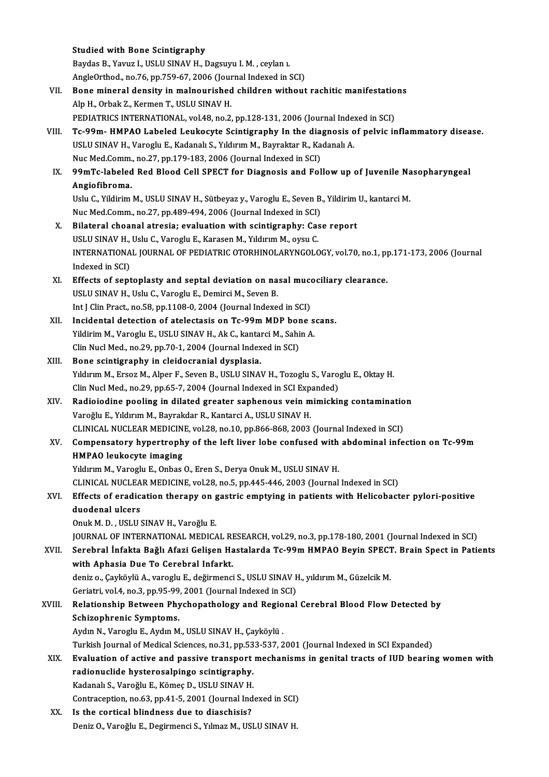|        | <b>Studied with Bone Scintigraphy</b>                                                              |
|--------|----------------------------------------------------------------------------------------------------|
|        | Baydas B., Yavuz I., USLU SINAV H., Dagsuyu I. M., ceylan 1.                                       |
|        | AngleOrthod., no.76, pp.759-67, 2006 (Journal Indexed in SCI)                                      |
| VII.   | Bone mineral density in malnourished children without rachitic manifestations                      |
|        | Alp H., Orbak Z., Kermen T., USLU SINAV H.                                                         |
|        | PEDIATRICS INTERNATIONAL, vol.48, no.2, pp.128-131, 2006 (Journal Indexed in SCI)                  |
| VIII.  | Tc-99m- HMPAO Labeled Leukocyte Scintigraphy In the diagnosis of pelvic inflammatory disease.      |
|        | USLU SINAV H., Varoglu E., Kadanalı S., Yıldırım M., Bayraktar R., Kadanalı A.                     |
|        | Nuc Med Comm., no.27, pp.179-183, 2006 (Journal Indexed in SCI)                                    |
| IX.    | 99mTc-labeled Red Blood Cell SPECT for Diagnosis and Follow up of Juvenile Nasopharyngeal          |
|        | Angiofibroma.                                                                                      |
|        | Uslu C., Yildirim M., USLU SINAV H., Sütbeyaz y., Varoglu E., Seven B., Yildirim U., kantarci M.   |
|        | Nuc Med.Comm., no.27, pp.489-494, 2006 (Journal Indexed in SCI)                                    |
| X.     | Bilateral choanal atresia; evaluation with scintigraphy: Case report                               |
|        | USLU SINAV H., Uslu C., Varoglu E., Karasen M., Yıldırım M., oysu C.                               |
|        | INTERNATIONAL JOURNAL OF PEDIATRIC OTORHINOLARYNGOLOGY, vol.70, no.1, pp.171-173, 2006 (Journal    |
|        | Indexed in SCI)                                                                                    |
| XI.    | Effects of septoplasty and septal deviation on nasal mucociliary clearance.                        |
|        | USLU SINAV H., Uslu C., Varoglu E., Demirci M., Seven B.                                           |
|        | Int J Clin Pract., no.58, pp.1108-0, 2004 (Journal Indexed in SCI)                                 |
| XII.   | Incidental detection of atelectasis on Tc-99m MDP bone scans.                                      |
|        | Yildirim M., Varoglu E., USLU SINAV H., Ak C., kantarci M., Sahin A.                               |
|        | Clin Nucl Med., no.29, pp.70-1, 2004 (Journal Indexed in SCI)                                      |
| XIII.  | Bone scintigraphy in cleidocranial dysplasia.                                                      |
|        | Yıldırım M., Ersoz M., Alper F., Seven B., USLU SINAV H., Tozoglu S., Varoglu E., Oktay H.         |
|        | Clin Nucl Med., no.29, pp.65-7, 2004 (Journal Indexed in SCI Expanded)                             |
| XIV.   | Radioiodine pooling in dilated greater saphenous vein mimicking contamination                      |
|        | Varoğlu E., Yıldırım M., Bayrakdar R., Kantarci A., USLU SINAV H.                                  |
|        | CLINICAL NUCLEAR MEDICINE, vol.28, no.10, pp.866-868, 2003 (Journal Indexed in SCI)                |
| XV.    | Compensatory hypertrophy of the left liver lobe confused with abdominal infection on Tc-99m        |
|        | HMPAO leukocyte imaging                                                                            |
|        | Yıldırım M., Varoglu E., Onbas O., Eren S., Derya Onuk M., USLU SINAV H.                           |
|        | CLINICAL NUCLEAR MEDICINE, vol.28, no.5, pp.445-446, 2003 (Journal Indexed in SCI)                 |
| XVI.   | Effects of eradication therapy on gastric emptying in patients with Helicobacter pylori-positive   |
|        | duodenal ulcers                                                                                    |
|        | Onuk M. D., USLU SINAV H., Varoğlu E.                                                              |
|        | JOURNAL OF INTERNATIONAL MEDICAL RESEARCH, vol.29, no.3, pp.178-180, 2001 (Journal Indexed in SCI) |
| XVII.  | Serebral İnfakta Bağlı Afazi Gelişen Hastalarda Tc-99m HMPAO Beyin SPECT. Brain Spect in Patients  |
|        | with Aphasia Due To Cerebral Infarkt.                                                              |
|        | deniz o., Çayköylü A., varoglu E., değirmenci S., USLU SINAV H., yıldırım M., Güzelcik M.          |
|        | Geriatri, vol.4, no.3, pp.95-99, 2001 (Journal Indexed in SCI)                                     |
| XVIII. | Relationship Between Phychopathology and Regional Cerebral Blood Flow Detected by                  |
|        | Schizophrenic Symptoms.                                                                            |
|        | Aydın N., Varoglu E., Aydın M., USLU SINAV H., Çayköylü.                                           |
|        | Turkish Journal of Medical Sciences, no.31, pp.533-537, 2001 (Journal Indexed in SCI Expanded)     |
| XIX.   | Evaluation of active and passive transport mechanisms in genital tracts of IUD bearing women with  |
|        | radionuclide hysterosalpingo scintigraphy.                                                         |
|        | Kadanalı S., Varoğlu E., Kömeç D., USLU SINAV H.                                                   |
|        | Contraception, no.63, pp.41-5, 2001 (Journal Indexed in SCI)                                       |
| XX.    | Is the cortical blindness due to diaschisis?                                                       |
|        | Deniz O., Varoğlu E., Degirmenci S., Yılmaz M., USLU SINAV H.                                      |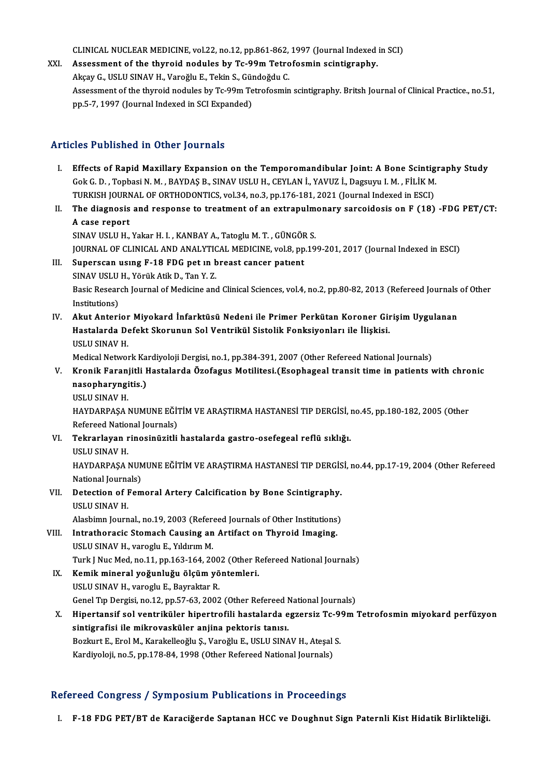CLINICAL NUCLEAR MEDICINE, vol.22, no.12, pp.861-862, 1997 (Journal Indexed in SCI)<br>Assessment of the thunoid nodules by To 99m Tetrofoamin seintigraphy

CLINICAL NUCLEAR MEDICINE, vol.22, no.12, pp.861-862, 1997 (Journal Indexed<br>XXI. Assessment of the thyroid nodules by Tc-99m Tetrofosmin scintigraphy. CLINICAL NUCLEAR MEDICINE, vol.22, no.12, pp.861-862,<br>Assessment of the thyroid nodules by Tc-99m Tetro<br>Akçay G., USLU SINAV H., Varoğlu E., Tekin S., Gündoğdu C.<br>Assessment of the thuroid nodules by Ta 99m Tetrofoamin Assessment of the thyroid nodules by Tc-99m Tetrofosmin scintigraphy.<br>Akçay G., USLU SINAV H., Varoğlu E., Tekin S., Gündoğdu C.<br>Assessment of the thyroid nodules by Tc-99m Tetrofosmin scintigraphy. Britsh Journal of Clini Akçay G., USLU SINAV H., Varoğlu E., Tekin S., Gür<br>Assessment of the thyroid nodules by Tc-99m Te<br>pp.5-7, 1997 (Journal Indexed in SCI Expanded) pp.5-7, 1997 (Journal Indexed in SCI Expanded)<br>Articles Published in Other Journals

- I. Effects of Rapid Maxillary Expansion on the Temporomandibular Joint: A Bone Scintigraphy Study GokG.D. ,TopbasiN.M. ,BAYDAŞB.,SINAVUSLUH.,CEYLANİ.,YAVUZ İ.,Dagsuyu I.M. ,FİLİKM. TURKISH JOURNAL OF ORTHODONTICS, vol.34, no.3, pp.176-181, 2021 (Journal Indexed in ESCI) Gok G. D. , Topbasi N. M. , BAYDAŞ B., SINAV USLU H., CEYLAN İ., YAVUZ İ., Dagsuyu I. M. , FİLİK M.<br>TURKISH JOURNAL OF ORTHODONTICS, vol.34, no.3, pp.176-181, 2021 (Journal Indexed in ESCI)<br>II. The diagnosis and response t
- TURKISH JOURN<br>The diagnosis<br>A case report<br>SIMAVIELU U The diagnosis and response to treatment of an extrapulm<br>A case report<br>SINAV USLU H., Yakar H. I. , KANBAY A., Tatoglu M. T. , GÜNGÖR S.<br>JOUPMAL OF CLINICAL AND ANALYTICAL MEDICINE vol 9 pp 19 A case report<br>SINAV USLU H., Yakar H. I. , KANBAY A., Tatoglu M. T. , GÜNGÖR S.<br>JOURNAL OF CLINICAL AND ANALYTICAL MEDICINE, vol.8, pp.199-201, 2017 (Journal Indexed in ESCI)

- SINAV USLU H., Yakar H. I. , KANBAY A., Tatoglu M. T. , GÜNGÖF<br>JOURNAL OF CLINICAL AND ANALYTICAL MEDICINE, vol.8, pp<br>III. Superscan using F-18 FDG pet in breast cancer patient<br>SINAV USLU H. Yärük Atik D. Top Y 7 JOURNAL OF CLINICAL AND ANALYTIC<br>Superscan using F-18 FDG pet in b<br>SINAV USLU H., Yörük Atik D., Tan Y. Z.<br>Bosis Bessansk Journal of Medisine and Basic Research Journal of Medicine and Clinical Sciences, vol.4, no.2, pp.80-82, 2013 (Refereed Journals of Other<br>Institutions) SINAV USLU H., Yörük Atik D., Tan Y. Z. Basic Research Journal of Medicine and Clinical Sciences, vol.4, no.2, pp.80-82, 2013 (Refereed Journals<br>Institutions)<br>IV. Akut Anterior Miyokard İnfarktüsü Nedeni ile Primer Perkütan Koroner Girişim Uygulanan<br>Hastalarda D
- Institutions)<br>Akut Anterior Miyokard İnfarktüsü Nedeni ile Primer Perkütan Koroner Gir<br>Hastalarda Defekt Skorunun Sol Ventrikül Sistolik Fonksiyonları ile İlişkisi.<br>USULSMAV.H Akut Anterior<br>Hastalarda De<br>USLU SINAV H.<br>Medical Netwol Hastalarda Defekt Skorunun Sol Ventrikül Sistolik Fonksiyonları ile İlişkisi.<br>USLU SINAV H.<br>Medical Network Kardiyoloji Dergisi, no.1, pp.384-391, 2007 (Other Refereed National Journals)<br>Knonik Foreniitli Hastalarda Özefog

USLU SINAV H.<br>Medical Network Kardiyoloji Dergisi, no.1, pp.384-391, 2007 (Other Refereed National Journals)<br>V. Kronik Faranjitli Hastalarda Özofagus Motilitesi.(Esophageal transit time in patients with chronic<br>nasopharyng Medical Network Ka<br><mark>Kronik Faranjitli I</mark><br>nasopharyngitis.)<br>USU U SIMAV H USLUSINAVH.

nasopharyngitis.)<br>USLU SINAV H.<br>HAYDARPAŞA NUMUNE EĞİTİM VE ARAŞTIRMA HASTANESİ TIP DERGİSİ, no.45, pp.180-182, 2005 (Other<br>Refereed National Jaurnale) USLU SINAV H.<br>HAYDARPAŞA NUMUNE EĞİ'<br>Refereed National Journals)<br>Tekrarlayan rinosinüzitli HAYDARPAŞA NUMUNE EĞİTİM VE ARAŞTIRMA HASTANESİ TIP DERGİSİ, 1<br>Refereed National Journals)<br>VI. Tekrarlayan rinosinüzitli hastalarda gastro-osefegeal reflü sıklığı.<br>USU BENAV H

- Refereed Natio<br><mark>Tekrarlayan r</mark><br>USLU SINAV H.<br>HAVDARRASA l Tekrarlayan rinosinüzitli hastalarda gastro-osefegeal reflü sıklığı.<br>USLU SINAV H.<br>HAYDARPAŞA NUMUNE EĞİTİM VE ARAŞTIRMA HASTANESİ TIP DERGİSİ, no.44, pp.17-19, 2004 (Other Refereed<br>National Jaurrak) USLU SINAV H.<br>HAYDARPAŞA NUM<br>National Journals)<br>Patastion of Form
- VII. Detection of Femoral Artery Calcification by Bone Scintigraphy.<br>USLU SINAV H. Detection of Femoral Artery Calcification by Bone Scintigraphy.<br>USLU SINAV H.<br>Alasbimn Journal., no.19, 2003 (Refereed Journals of Other Institutions)<br>Intratheracis Stomach Causing an Artifact on Thuroid Imaging.

National Journals)

- VIII. Intrathoracic Stomach Causing an Artifact on Thyroid Imaging.<br>USLU SINAV H., varoglu E., Yıldırım M. Alasbimn Journal., no.19, 2003 (Referd<br>Intrathoracic Stomach Causing an<br>USLU SINAV H., varoglu E., Yıldırım M.<br>Turk I Nuc Med no.11, nn.162, 164, 20 Intrathoracic Stomach Causing an Artifact on Thyroid Imaging.<br>USLU SINAV H., varoglu E., Yıldırım M.<br>Turk J Nuc Med, no.11, pp.163-164, 2002 (Other Refereed National Journals)<br>Komik mineral voğunluğu ölgüm vöntemleri
	- IX. Kemik mineral yoğunluğu ölçüm yöntemleri.<br>USLU SINAV H., varoglu E., Bayraktar R. Turk J Nuc Med, no.11, pp.163-164, 200<br>**Kemik mineral yoğunluğu ölçüm yö**<br>USLU SINAV H., varoglu E., Bayraktar R.<br>Cenel Tıp Dergisi, no.12, nn 57,62, 2002 Genel Tip Dergisi, no.12, pp.57-63, 2002 (Other Refereed National Journals)
	- USLU SINAV H., varoglu E., Bayraktar R.<br>Genel Tıp Dergisi, no.12, pp.57-63, 2002 (Other Refereed National Journals)<br>X. Hipertansif sol ventriküler hipertrofili hastalarda egzersiz Tc-99m Tetrofosmin miyokard perfüzyon<br> sintigrafisi ilemikrovasküler anjina pektoris tanısı. Hipertansif sol ventriküler hipertrofili hastalarda egzersiz Tc-9<br>sintigrafisi ile mikrovasküler anjina pektoris tanısı.<br>Bozkurt E., Erol M., Karakelleoğlu Ş., Varoğlu E., USLU SINAV H., Ateşal S.<br>Kardiyaleji ne 5-nn 179.9 Bozkurt E., Erol M., Karakelleoğlu Ş., Varoğlu E., USLU SINAV H., Ateşal S.<br>Kardiyoloji, no.5, pp.178-84, 1998 (Other Refereed National Journals)

## Refereed Congress / Symposium Publications in Proceedings

I. F-18 FDG PET/BT de Karaciğerde Saptanan HCC ve Doughnut Sign Paternli Kist Hidatik Birlikteliği.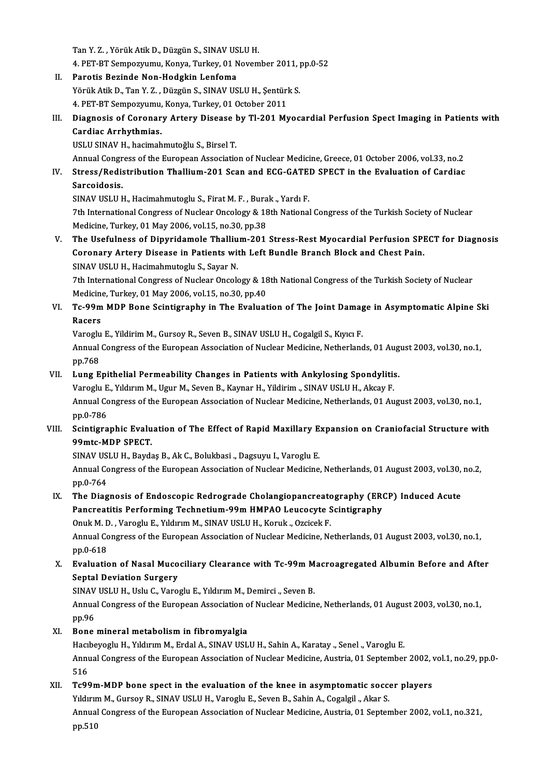TanY.Z. ,YörükAtikD.,DüzgünS.,SINAVUSLUH.

4. PET-BT Sempozyumu, Konya, Turkey, 01 November 2011, pp.0-52

- II. Parotis Bezinde Non-Hodgkin Lenfoma 4. PET-BT Sempozyumu, Konya, Turkey, 01 November 2011, <sub>]</sub><br>Parotis Bezinde Non-Hodgkin Lenfoma<br>Yörük Atik D., Tan Y. Z. , Düzgün S., SINAV USLU H., Şentürk S.<br>4. PET PT Sempogrumu, *Vonya Turkey, 01 Osteber 2011* Parotis Bezinde Non-Hodgkin Lenfoma<br>Yörük Atik D., Tan Y. Z. , Düzgün S., SINAV USLU H., Şentürl<br>4. PET-BT Sempozyumu, Konya, Turkey, 01 October 2011<br>Diagnosis of Coronary Artory Disease by Tl 201 M.
- Yörük Atik D., Tan Y. Z. , Düzgün S., SINAV USLU H., Şentürk S.<br>1. PET-BT Sempozyumu, Konya, Turkey, 01 October 2011<br>III. Diagnosis of Coronary Artery Disease by Tl-201 Myocardial Perfusion Spect Imaging in Patients wi 4. PET-BT Sempozyumu, Konya, Turkey, 01 October 2011<br>Diagnosis of Coronary Artery Disease by Tl-201 M<br>Cardiac Arrhythmias.<br>USLU SINAV H., hacimahmutoğlu S., Birsel T. Diagnosis of Coronary Artery Disease l<br>Cardiac Arrhythmias.<br>USLU SINAV H., hacimahmutoğlu S., Birsel T.<br>Annual Congress of the Euronean Associatio Cardiac Arrhythmias.<br>USLU SINAV H., hacimahmutoğlu S., Birsel T.<br>Annual Congress of the European Association of Nuclear Medicine, Greece, 01 October 2006, vol.33, no.2<br>Stress (Podistribution Thellium 201 Sean and ECC CATED

USLU SINAV H., hacimahmutoğlu S., Birsel T.<br>Annual Congress of the European Association of Nuclear Medicine, Greece, 01 October 2006, vol.33, no.2<br>IV. Stress/Redistribution Thallium-201 Scan and ECG-GATED SPECT in the Eval Annual Congr<br>Stress/Redis<br>Sarcoidosis.<br>SINAV USLU L Stress/Redistribution Thallium-201 Scan and ECG-GATE<br>Sarcoidosis.<br>SINAV USLU H., Hacimahmutoglu S., Firat M. F. , Burak., Yardı F.<br>7th International Congress of Nuclear Ongelegy & 19th National Sarcoidosis.<br>19th International Congress of Nuclear Oncology & 18th National Congress of the Turkish Society of Nuclear<br>19th International Congress of Nuclear Oncology & 18th National Congress of the Turkish Society of Nuc

Medicine,Turkey,01May2006,vol.15,no.30,pp.38 The International Congress of Nuclear Oncology & 18th National Congress of the Turkish Society of Nuclear<br>Medicine, Turkey, 01 May 2006, vol.15, no.30, pp.38<br>V. The Usefulness of Dipyridamole Thallium-201 Stress-Rest Myoca

Medicine, Turkey, 01 May 2006, vol.15, no.30, pp.38<br>The Usefulness of Dipyridamole Thallium-201 Stress-Rest Myocardial Perfusion SPI<br>Coronary Artery Disease in Patients with Left Bundle Branch Block and Chest Pain.<br>SINAV U The Usefulness of Dipyridamole Thalliu<br>Coronary Artery Disease in Patients with<br>SINAV USLU H., Hacimahmutoglu S., Sayar N.<br>7th International Congress of Nuclear Ongols Coronary Artery Disease in Patients with Left Bundle Branch Block and Chest Pain.<br>SINAV USLU H., Hacimahmutoglu S., Sayar N.<br>7th International Congress of Nuclear Oncology & 18th National Congress of the Turkish Society of

SINAV USLU H., Hacimahmutoglu S., Sayar N.<br>7th International Congress of Nuclear Oncology & 18<br>Medicine, Turkey, 01 May 2006, vol.15, no.30, pp.40<br>Te 99m MDB Bone Ssintignaphy in The Evelyst

7th International Congress of Nuclear Oncology & 18th National Congress of the Turkish Society of Nuclear<br>Medicine, Turkey, 01 May 2006, vol.15, no.30, pp.40<br>VI. Tc-99m MDP Bone Scintigraphy in The Evaluation of The Joint Medicine<br>Tc-99m<br>Racers<br><sup>Veroglu</sup> Tc-99m MDP Bone Scintigraphy in The Evaluation of The Joint Damag<br>Racers<br>Varoglu E., Yildirim M., Gursoy R., Seven B., SINAV USLU H., Cogalgil S., Kıyıcı F.<br>Annual Congress of the Euronean Association of Nuclear Medicine N

Racers<br>Varoglu E., Yildirim M., Gursoy R., Seven B., SINAV USLU H., Cogalgil S., Kıyıcı F.<br>Annual Congress of the European Association of Nuclear Medicine, Netherlands, 01 August 2003, vol.30, no.1,<br>nn 769 Varoglu<br>Annual<br>pp.768<br>Lung E Annual Congress of the European Association of Nuclear Medicine, Netherlands, 01 Aug<br>pp.768<br>VII. Lung Epithelial Permeability Changes in Patients with Ankylosing Spondylitis.<br>Vanagly E. Viduum M. Haur M. Savon P. Kaupar H.

pp.768<br>Lung Epithelial Permeability Changes in Patients with Ankylosing Spondylitis<br>Varoglu E., Yıldırım M., Ugur M., Seven B., Kaynar H., Yildirim ., SINAV USLU H., Akcay F.<br>Annual Congress of the Europeen Association of VII. Lung Epithelial Permeability Changes in Patients with Ankylosing Spondylitis.<br>Varoglu E., Yıldırım M., Ugur M., Seven B., Kaynar H., Yildirim ., SINAV USLU H., Akcay F.<br>Annual Congress of the European Association of N Varoglu <mark>E</mark><br>Annual Co<br>pp.0-786<br>Scintiare Annual Congress of the European Association of Nuclear Medicine, Netherlands, 01 August 2003, vol.30, no.1,<br>pp.0-786<br>VIII. Scintigraphic Evaluation of The Effect of Rapid Maxillary Expansion on Craniofacial Structure with<br>

# pp.0-786<br>Scintigraphic Evalu<br>99mtc-MDP SPECT.<br>SINAV USLU H. Pexde Scintigraphic Evaluation of The Effect of Rapid Maxillary E<br>99mtc-MDP SPECT.<br>SINAV USLU H., Baydaş B., Ak C., Bolukbasi ., Dagsuyu I., Varoglu E.<br>Annual Congress of the European Association of Nuclear Medicine

99mtc-MDP SPECT.<br>SINAV USLU H., Baydaş B., Ak C., Bolukbasi ., Dagsuyu I., Varoglu E.<br>Annual Congress of the European Association of Nuclear Medicine, Netherlands, 01 August 2003, vol.30, no.2, SINAV US<br>Annual Co<br>pp.0-764<br>The Dieg

## Annual Congress of the European Association of Nuclear Medicine, Netherlands, 01 August 2003, vol.30, pp.0-764<br>IX. The Diagnosis of Endoscopic Redrograde Cholangiopancreatography (ERCP) Induced Acute<br>Penergetitis Performin pp.0-764<br>The Diagnosis of Endoscopic Redrograde Cholangiopancreatography (ER)<br>Pancreatitis Performing Technetium-99m HMPAO Leucocyte Scintigraphy<br>Opul: M.D. Vanaghy E. Vilduum M. SINAV USUU H. Kanuk, Opejael: E. The Diagnosis of Endoscopic Redrograde Cholangiopancreate<br>Pancreatitis Performing Technetium-99m HMPAO Leucocyte S<br>Onuk M. D. , Varoglu E., Yıldırım M., SINAV USLU H., Koruk., Ozcicek F.<br>Annual Congress of the European Ass

Onuk M. D., Varoglu E., Yıldırım M., SINAV USLU H., Koruk ., Ozcicek F.

Pancreatitis Performing Technetium-99m HMPAO Leucocyte Scintigraphy<br>Onuk M. D. , Varoglu E., Yıldırım M., SINAV USLU H., Koruk ., Ozcicek F.<br>Annual Congress of the European Association of Nuclear Medicine, Netherlands, 01 Annual Congress of the European Association of Nuclear Medicine, Netherlands, 01 August 2003, vol.30, no.1,<br>pp.0-618<br>X. Evaluation of Nasal Mucociliary Clearance with Tc-99m Macroagregated Albumin Before and After<br>Septel D

# pp.0-618<br><mark>Evaluation of Nasal Muco</mark><br>Septal Deviation Surgery<br>SINAV USLU <del>U. Usl</del>u G. Vero Evaluation of Nasal Mucociliary Clearance with Tc-99m M<br>Septal Deviation Surgery<br>SINAV USLU H., Uslu C., Varoglu E., Yıldırım M., Demirci ., Seven B.<br>Annual Congress of the Euronean Association of Nuclear Medicin

Septal Deviation Surgery<br>SINAV USLU H., Uslu C., Varoglu E., Yıldırım M., Demirci ., Seven B.<br>Annual Congress of the European Association of Nuclear Medicine, Netherlands, 01 August 2003, vol.30, no.1,<br>pp.96 SINAV<br>Annua<br>pp.96<br>Pene

### XI. Bone mineral metabolism in fibromyalgia

pp.96<br>Bone mineral metabolism in fibromyalgia<br>Hacıbeyoglu H., Yıldırım M., Erdal A., SINAV USLU H., Sahin A., Karatay ., Senel ., Varoglu E.<br>Annual Congress of the European Association of Nuclear Modicine, Austria, 01 Sept Annual Congress of the European Association of Nuclear Medicine, Austria, 01 September 2002, vol.1, no.29, pp.0-<br>516 Hacil<br>Anni<br>516<br>Te<sup>oc</sup> Annual Congress of the European Association of Nuclear Medicine, Austria, 01 September 2002, v<br>516<br>XII. Tc99m-MDP bone spect in the evaluation of the knee in asymptomatic soccer players<br>Viduum M. Cursou B. SINAV USLU H. Ve

## 516<br>Tc99m-MDP bone spect in the evaluation of the knee in asymptomatic socce<br>Yıldırım M., Gursoy R., SINAV USLU H., Varoglu E., Seven B., Sahin A., Cogalgil ., Akar S.<br>Annual Congress of the European Association of Nuglean Yıldırım M., Gursoy R., SINAV USLU H., Varoglu E., Seven B., Sahin A., Cogalgil ., Akar S.<br>Annual Congress of the European Association of Nuclear Medicine, Austria, 01 September 2002, vol.1, no.321,

pp.510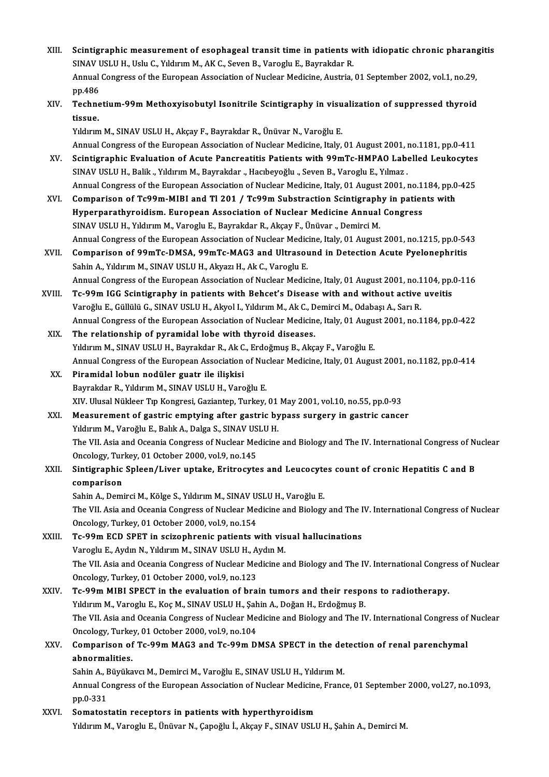- XIII. Scintigraphic measurement of esophageal transit time in patients with idiopatic chronic pharangitis<br>SIMAV USLU H. Helv G. Vilduum M. AK G. Sexen B. Venegly E. Beynalider B. Scintigraphic measurement of esophageal transit time in patients v<br>SINAV USLU H., Uslu C., Yıldırım M., AK C., Seven B., Varoglu E., Bayrakdar R.<br>Annual Congress of the Euroneen Assosiation of Nuslear Medicine, Austria Scintigraphic measurement of esophageal transit time in patients with idiopatic chronic pharan<sub>1</sub><br>SINAV USLU H., Uslu C., Yıldırım M., AK C., Seven B., Varoglu E., Bayrakdar R.<br>Annual Congress of the European Association o SINAV USLU H., Uslu C., Yıldırım M., AK C., Seven B., Varoglu E., Bayrakdar R.<br>Annual Congress of the European Association of Nuclear Medicine, Austria, 01 September 2002, vol.1, no.29,<br>pp.486 Annual Congress of the European Association of Nuclear Medicine, Austria, 01 September 2002, vol.1, no.29,<br>pp.486<br>XIV. Technetium-99m Methoxyisobutyl Isonitrile Scintigraphy in visualization of suppressed thyroid<br>tissue
- pp.486<br>Techne<br>tissue.<br><sup>Vilduur</sub></sup> Technetium-99m Methoxyisobutyl Isonitrile Scintigraphy in visu<br>tissue.<br>Yıldırım M., SINAV USLU H., Akçay F., Bayrakdar R., Ünüvar N., Varoğlu E.<br>Annual Congress of the European Association of Nuclear Medicine, Italy.

tissue.<br>Yıldırım M., SINAV USLU H., Akçay F., Bayrakdar R., Ünüvar N., Varoğlu E.<br>Annual Congress of the European Association of Nuclear Medicine, Italy, 01 August 2001, no.1181, pp.0-411 Yıldırım M., SINAV USLU H., Akçay F., Bayrakdar R., Ünüvar N., Varoğlu E.<br>Annual Congress of the European Association of Nuclear Medicine, Italy, 01 August 2001, no.1181, pp.0-411<br>XV. Scintigraphic Evaluation of Acute Panc

- SINAV USLU H., Balik., Yıldırım M., Bayrakdar ., Hacıbeyoğlu ., Seven B., Varoglu E., Yılmaz . Scintigraphic Evaluation of Acute Pancreatitis Patients with 99mTc-HMPAO Labelled Leukocytes<br>SINAV USLU H., Balik ., Yıldırım M., Bayrakdar ., Hacıbeyoğlu ., Seven B., Varoglu E., Yılmaz .<br>Annual Congress of the European A Annual Congress of the European Association of Nuclear Medicine, Italy, 01 August 2001, no.1184, pp.0-425
- XVI. Comparison of Tc99m-MIBI and Tl 201 / Tc99m Substraction Scintigraphy in patients with<br>Hyperparathyroidism. European Association of Nuclear Medicine Annual Congress SINAV USLU H., Yıldırım M., Varoglu E., Bayrakdar R., Akçay F., Ünüvar ., Demirci M. Annual Congress of the European Association of Nuclear Medicine, Italy, 01 August 2001, no.1215, pp.0-543 SINAV USLU H., Yıldırım M., Varoglu E., Bayrakdar R., Akçay F., Ünüvar ., Demirci M.<br>Annual Congress of the European Association of Nuclear Medicine, Italy, 01 August 2001, no.1215, pp.0-54<br>XVII. Comparison of 99mTc-DMSA,
- Annual Congress of the European Association of Nuclear Medic<br>Comparison of 99mTc-DMSA, 99mTc-MAG3 and Ultrasou<br>Sahin A., Yıldırım M., SINAV USLU H., Akyazı H., Ak C., Varoglu E.<br>Annual Congress of the European Association Comparison of 99mTc-DMSA, 99mTc-MAG3 and Ultrasound in Detection Acute Pyelonephritis<br>Sahin A., Yıldırım M., SINAV USLU H., Akyazı H., Ak C., Varoglu E.<br>Annual Congress of the European Association of Nuclear Medicine, Ital Sahin A., Yıldırım M., SINAV USLU H., Akyazı H., Ak C., Varoglu E.<br>Annual Congress of the European Association of Nuclear Medicine, Italy, 01 August 2001, no.1104, pp.0-116<br>XVIII. Tc-99m IGG Scintigraphy in patients wi
- Annual Congress of the European Association of Nuclear Medicine, Italy, 01 August 2001, no.1<br>Tc-99m IGG Scintigraphy in patients with Behcet's Disease with and without active<br>Varoğlu E., Güllülü G., SINAV USLU H., Akyol I. Annual Congress of the European Association of Nuclear Medicine, Italy, 01 August 2001, no.1184, pp.0-422<br>The relationship of pyramidal lobe with thyroid diseases. Varoğlu E., Güllülü G., SINAV USLU H., Akyol I., Yıldırım M., Ak C., D<br>Annual Congress of the European Association of Nuclear Medicin<br>XIX. The relationship of pyramidal lobe with thyroid diseases.<br>Vidurum M. SINAV USLU
- Annual Congress of the European Association of Nuclear Medicine, Italy, 01 Augu:<br>The relationship of pyramidal lobe with thyroid diseases.<br>Yıldırım M., SINAV USLU H., Bayrakdar R., Ak C., Erdoğmuş B., Akçay F., Varoğlu E.<br> Annual Congress of the European Association of Nuclear Medicine, Italy, 01 August 2001, no.1182, pp.0-414 XX. Piramidal lobun nodüler guatr ile ilişkisi Yıldırım M., SINAV USLU H., Bayrakdar R., Ak C<br>Annual Congress of the European Association<br>XX. Piramidal lobun nodüler guatr ile ilişkisi<br>Payrakdar B. Yıldırım M. SINAV USLU H. Vare
- Bayrakdar R., Yıldırım M., SINAV USLU H., Varoğlu E. XIV. Ulusal Nükleer Tıp Kongresi, Gaziantep, Turkey, 01 May 2001, vol.10, no.55, pp.0-93
- XXI. Measurement of gastric emptying after gastric bypass surgery in gastric cancer XIV. Ulusal Nükleer Tıp Kongresi, Gaziantep, Turkey, 01<br>Measurement of gastric emptying after gastric by<br>Yıldırım M., Varoğlu E., Balık A., Dalga S., SINAV USLU H.<br>The VII. Asia and Ossania Cangress of Nuslear Madisine The VII. Asia and Oceania Congress of Nuclear Medicine and Biology and The IV. International Congress of Nuclear<br>Oncology, Turkey, 01 October 2000, vol.9, no.145 Yıldırım M., Varoğlu E., Balık A., Dalga S., SINAV US<br>The VII. Asia and Oceania Congress of Nuclear Me<br>Oncology, Turkey, 01 October 2000, vol.9, no.145<br>Sintignanhia Splaan (Livan untaka, Enitraguta The VII. Asia and Oceania Congress of Nuclear Medicine and Biology and The IV. International Congress of Nu<br>Oncology, Turkey, 01 October 2000, vol.9, no.145<br>XXII. Sintigraphic Spleen/Liver uptake, Eritrocytes and Leucocyte
- Oncology, Tur<br>Sintigraphic<br>comparison<br>Sobin A. Domi Sintigraphic Spleen/Liver uptake, Eritrocytes and Leucocyte<br>comparison<br>Sahin A., Demirci M., Kölge S., Yıldırım M., SINAV USLU H., Varoğlu E.<br>The VII. Asia and Ossania Congress of Nuslaar Medisine and Biology

comparison<br>Sahin A., Demirci M., Kölge S., Yıldırım M., SINAV USLU H., Varoğlu E.<br>The VII. Asia and Oceania Congress of Nuclear Medicine and Biology and The IV. International Congress of Nuclear<br>Oncology. Turkey. 01 Octobe Sahin A., Demirci M., Kölge S., Yıldırım M., SINAV USLU H., Varoğlu E.

XXIII. Tc-99m ECD SPET in scizophrenic patients with visual hallucinations Oncology, Turkey, 01 October 2000, vol.9, no.154<br>Tc-99m ECD SPET in scizophrenic patients with vis<br>Varoglu E., Aydın N., Yıldırım M., SINAV USLU H., Aydın M.<br>The VII. Asia and Oseania Consress of Nuslear Medisine a The VII. Asia and Oceania Congress of Nuclear Medicine and Biology and The IV. International Congress of Nuclear<br>Oncology, Turkey, 01 October 2000, vol.9, no.123 Varoglu E., Aydın N., Yıldırım M., SINAV USLU H., A<br>The VII. Asia and Oceania Congress of Nuclear Me<br>Oncology, Turkey, 01 October 2000, vol.9, no.123<br>Te 99m MIBI SBEGT in the evaluation of hre The VII. Asia and Oceania Congress of Nuclear Medicine and Biology and The IV. International Congre<br>Oncology, Turkey, 01 October 2000, vol.9, no.123<br>XXIV. Tc-99m MIBI SPECT in the evaluation of brain tumors and their respo

## Oncology, Turkey, 01 October 2000, vol.9, no.123<br>Tc-99m MIBI SPECT in the evaluation of brain tumors and their respo<br>Yıldırım M., Varoglu E., Koç M., SINAV USLU H., Şahin A., Doğan H., Erdoğmuş B.<br>The VII. Asia and Oseania Tc-99m MIBI SPECT in the evaluation of brain tumors and their respons to radiotherapy.<br>Yıldırım M., Varoglu E., Koç M., SINAV USLU H., Şahin A., Doğan H., Erdoğmuş B.<br>The VII. Asia and Oceania Congress of Nuclear Medicine Yıldırım M., Varoglu E., Koç M., SINAV USLU H., Şahin A., Doğan H., Erdoğmuş B. The VII. Asia and Oceania Congress of Nuclear Medicine and Biology and The IV. International Congress of<br>Oncology, Turkey, 01 October 2000, vol.9, no.104<br>XXV. Comparison of Tc-99m MAG3 and Tc-99m DMSA SPECT in the detectio

## Oncology, Turkey, 01 October 2000, vol.9, no.104<br>Comparison of Tc-99m MAG3 and Tc-99m DMSA SPECT in the de<br>abnormalities.<br>Sahin A., Büyükavcı M., Demirci M., Varoğlu E., SINAV USLU H., Yıldırım M. Comparison of Tc-99m MAG3 and Tc-99m DMSA SPECT in the detection of renal parenchymal

abnormalities.<br>Sahin A., Büyükavcı M., Demirci M., Varoğlu E., SINAV USLU H., Yıldırım M.<br>Annual Congress of the European Association of Nuclear Medicine, France, 01 September 2000, vol.27, no.1093, Sahin A., I<br>Annual Co<br>pp.0-331<br>Semates: Annual Congress of the European Association of Nuclear Medicine<br>pp.0-331<br>XXVI. Somatostatin receptors in patients with hyperthyroidism<br>Viduum M. Vanaghu E. Univer N. Canağhu L. Algay E. SINAV USLI

pp.0-331<br>Somatostatin receptors in patients with hyperthyroidism<br>Yıldırım M., Varoglu E., Ünüvar N., Çapoğlu İ., Akçay F., SINAV USLU H., Şahin A., Demirci M.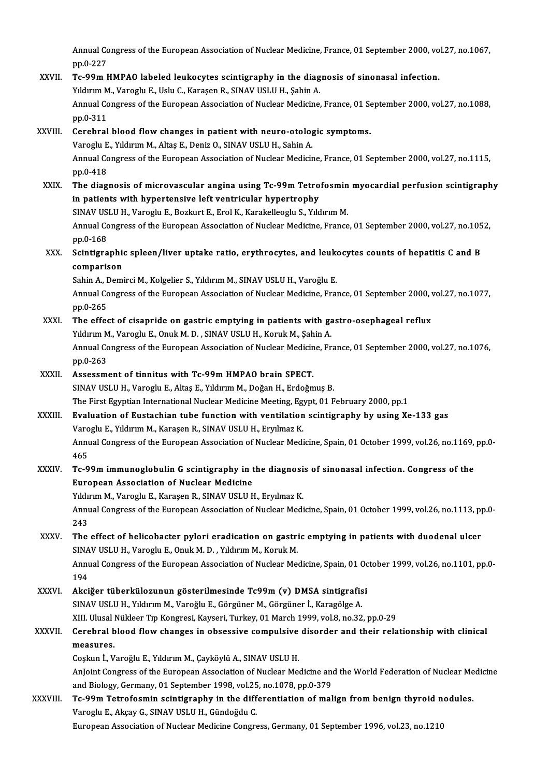Annual Congress of the European Association of Nuclear Medicine, France, 01 September 2000, vol.27, no.1067,<br>nn 0.227 Annual Co<br>pp.0-227<br>Te 99m I Annual Congress of the European Association of Nuclear Medicine, France, 01 September 2000, vo<br>pp.0-227<br>XXVII. Tc-99m HMPAO labeled leukocytes scintigraphy in the diagnosis of sinonasal infection.<br>Viduum M. Vanashi E. Hali

pp.0-227<br>Tc-99m HMPAO labeled leukocytes scintigraphy in the diag<br>Yıldırım M., Varoglu E., Uslu C., Karaşen R., SINAV USLU H., Şahin A.<br>Annual Congress of the European Assosiation of Nuslean Medisine Tc-99m HMPAO labeled leukocytes scintigraphy in the diagnosis of sinonasal infection.<br>Yıldırım M., Varoglu E., Uslu C., Karaşen R., SINAV USLU H., Şahin A.<br>Annual Congress of the European Association of Nuclear Medicine, F Yıldırım M<br>Annual Co<br>pp.0-311<br>Carabral Annual Congress of the European Association of Nuclear Medicine, France, 01 Se<br>pp.0-311<br>XXVIII. Cerebral blood flow changes in patient with neuro-otologic symptoms.<br>Varecly E. Viduum M. Altes E. Deniz O. SINAV USLU H. Sobi

## pp.0-311<br>Cerebral blood flow changes in patient with neuro-otolog<br>Varoglu E., Yıldırım M., Altaş E., Deniz O., SINAV USLU H., Sahin A.<br>Annual Congress of the European Association of Nuclear Medicir Varoglu E., Yıldırım M., Altaş E., Deniz O., SINAV USLU H., Sahin A.<br>Annual Congress of the European Association of Nuclear Medicine, France, 01 September 2000, vol.27, no.1115, pp.0-418 Annual Congress of the European Association of Nuclear Medicine, France, 01 September 2000, vol.27, no.1115,<br>pp.0-418<br>XXIX. The diagnosis of microvascular angina using Tc-99m Tetrofosmin myocardial perfusion scintigraphy<br>i

pp.0-418<br>The diagnosis of microvascular angina using Tc-99m Tetro<br>in patients with hypertensive left ventricular hypertrophy<br>SIMAV USLU H, Veregly E, Beglaut E, Enel K, Karakelleegly S, Vdd The diagnosis of microvascular angina using Tc-99m Tetrofosmin<br>in patients with hypertensive left ventricular hypertrophy<br>SINAV USLU H., Varoglu E., Bozkurt E., Erol K., Karakelleoglu S., Yıldırım M.<br>Annual Congress of the

in patients with hypertensive left ventricular hypertrophy<br>SINAV USLU H., Varoglu E., Bozkurt E., Erol K., Karakelleoglu S., Yıldırım M.<br>Annual Congress of the European Association of Nuclear Medicine, France, 01 September SINAV US<br>Annual Co<br>pp.0-168<br>Scintigne Annual Congress of the European Association of Nuclear Medicine, France, 01 September 2000, vol.27, no.105<br>pp.0-168<br>XXX. Scintigraphic spleen/liver uptake ratio, erythrocytes, and leukocytes counts of hepatitis C and B<br>com

# pp.0-168<br>Scintigraphie<br>comparison<br>Sobin A. Domi Scintigraphic spleen/liver uptake ratio, erythrocytes, and leuk<br>comparison<br>Sahin A., Demirci M., Kolgelier S., Yıldırım M., SINAV USLU H., Varoğlu E.<br>Annual Congress of the Euroneen Association of Nuclear Medisine Eres

comparison<br>Sahin A., Demirci M., Kolgelier S., Yıldırım M., SINAV USLU H., Varoğlu E.<br>Annual Congress of the European Association of Nuclear Medicine, France, 01 September 2000, vol.27, no.1077, Sahin A., Demirci M., Kolgelier S., Yıldırım M., SINAV USLU H., Varoğlu E.<br>Annual Congress of the European Association of Nuclear Medicine, France, 01 September 2000,<br>pp.0-265<br>The effect of cisapride on gastric emptying in Annual Congress of the European Association of Nuclear Medicine, France, 01 September 2000, pp.0-265<br>XXXI. The effect of cisapride on gastric emptying in patients with gastro-osephageal reflux<br>Volderin M. Varoglu E. Onuk M

- pp.0-265<br>The effect of cisapride on gastric emptying in patients with ga<br>Yıldırım M., Varoglu E., Onuk M. D. , SINAV USLU H., Koruk M., Şahin A.<br>Annual Congress of the European Association of Nuclear Medicine, Er Annual Congress of the European Association of Nuclear Medicine, France, 01 September 2000, vol.27, no.1076, pp.0-263 Yıldırım M<br>Annual Co<br>pp.0-263<br>Assessm
- XXXII. Assessment of tinnitus with Tc-99m HMPAO brain SPECT. SINAV USLU H., Varoglu E., Altaş E., Yıldırım M., Doğan H., Erdoğmuş B. The First Egyptian International Nuclear Medicine Meeting, Egypt, 01 February 2000, pp.1
- XXXIII. Evaluation of Eustachian tube function with ventilation scintigraphy by using Xe-133 gas The First Egyptian International Nuclear Medicine Meeting, Eg<br>**Evaluation of Eustachian tube function with ventilation**<br>Varoglu E., Yıldırım M., Karaşen R., SINAV USLU H., Eryılmaz K.<br>Annual Congress of the European Associ Annual Congress of the European Association of Nuclear Medicine, Spain, 01 October 1999, vol.26, no.1169, pp.0-<br>465 Varo<br>Anni<br>465<br>Ta 9 Annual Congress of the European Association of Nuclear Medicine, Spain, 01 October 1999, vol.26, no.1169,<br>465<br>XXXIV. Tc-99m immunoglobulin G scintigraphy in the diagnosis of sinonasal infection. Congress of the<br>European As

## European Association of Nuclear Medicine Tc-99m immunoglobulin G scintigraphy in the diagnosi<br>European Association of Nuclear Medicine<br>Yıldırım M., Varoglu E., Karaşen R., SINAV USLU H., Eryılmaz K.<br>Annual Congress of the European Association of Nuclear Medi

Yıldırım M., Varoglu E., Karaşen R., SINAV USLU H., Eryılmaz K.

Annual Congress of the European Association of Nuclear Medicine, Spain, 01 October 1999, vol.26, no.1113, pp.0-<br>243 Annual Congress of the European Association of Nuclear Medicine, Spain, 01 October 1999, vol.26, no.1113, pp<br>243<br>XXXV. The effect of helicobacter pylori eradication on gastric emptying in patients with duodenal ulcer<br>SINAV

# 243<br>The effect of helicobacter pylori eradication on gastri<br>SINAV USLU H., Varoglu E., Onuk M. D. , Yıldırım M., Koruk M.<br>Annual Congress of the European Association of Nuclear Me The effect of helicobacter pylori eradication on gastric emptying in patients with duodenal ulcer<br>SINAV USLU H., Varoglu E., Onuk M. D. , Yıldırım M., Koruk M.<br>Annual Congress of the European Association of Nuclear Medicin

SINAV USLU H., Varoglu E., Onuk M. D. , Yıldırım M., Koruk M.<br>Annual Congress of the European Association of Nuclear Medicine, Spain, 01 October 1999, vol.26, no.1101, pp.0<br>194 Annual Congress of the European Association of Nuclear Medicine, Spain, 01 Oc<br>194<br>XXXVI. Akciğer tüberkülozunun gösterilmesinde Tc99m (v) DMSA sintigrafisi

194<br><mark>Akciğer tüberkülozunun gösterilmesinde Tc99m (v) DMSA sintigrafis</mark><br>SINAV USLU H., Yıldırım M., Varoğlu E., Görgüner M., Görgüner İ., Karagölge A.<br>YIII Ulugel Nükleer Tın Kongresi *Kayser*i Turkey, 01 Marsh 1999 yal 8 Akciğer tüberkülozunun gösterilmesinde Tc99m (v) DMSA sintigrafisi<br>SINAV USLU H., Yıldırım M., Varoğlu E., Görgüner M., Görgüner İ., Karagölge A.<br>XIII. Ulusal Nükleer Tıp Kongresi, Kayseri, Turkey, 01 March 1999, vol.8, no SINAV USLU H., Yıldırım M., Varoğlu E., Görgüner M., Görgüner İ., Karagölge A.<br>XIII. Ulusal Nükleer Tıp Kongresi, Kayseri, Turkey, 01 March 1999, vol.8, no.32, pp.0-29<br>XXXVII. Cerebral blood flow changes in obsessive c

# XIII. Ulusal<br>Cerebral b<br>measures.<br>Ceckun <sup>i</sup>. V Cerebral blood flow changes in obsessive compulsive<br>measures.<br>Coşkun İ., Varoğlu E., Yıldırım M., Çayköylü A., SINAV USLU H.<br>Anlaint Congress of the Euronean Assosiation of Nuslean Me

measures.<br>Coşkun İ., Varoğlu E., Yıldırım M., Çayköylü A., SINAV USLU H.<br>AnJoint Congress of the European Association of Nuclear Medicine and the World Federation of Nuclear Medicine<br>and Bislagy, Cormany, 91 September 1998 Coşkun İ., Varoğlu E., Yıldırım M., Çayköylü A., SINAV USLU H.<br>AnJoint Congress of the European Association of Nuclear Medicine and<br>and Biology, Germany, 01 September 1998, vol.25, no.1078, pp.0-379<br>Te 99m Tetrofoemin esin AnJoint Congress of the European Association of Nuclear Medicine and the World Federation of Nuclear Me<br>and Biology, Germany, 01 September 1998, vol.25, no.1078, pp.0-379<br>XXXVIII. Tc-99m Tetrofosmin scintigraphy in the dif

and Biology, Germany, 01 September 1998, vol.25, no.1078, pp.0-379<br>Tc-99m Tetrofosmin scintigraphy in the differentiation of malign from benign thyroid nodules.<br>Varoglu E., Akçay G., SINAV USLU H., Gündoğdu C. European Association of Nuclear Medicine Congress, Germany, 01 September 1996, vol.23, no.1210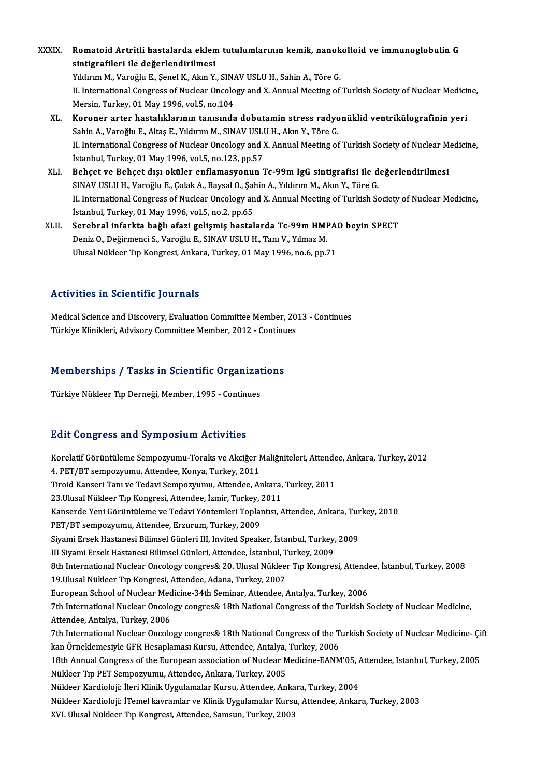- XXXIX. Romatoid Artritli hastalarda eklem tutulumlarının kemik, nanokolloid ve immunoglobulin G<br>sintismefileri ile değerlendirilmesi Romatoid Artritli hastalarda eklen<br>sintigrafileri ile değerlendirilmesi<br>Yılduum M. Veneğlu E. Senel K. Alun V. Romatoid Artritli hastalarda eklem tutulumlarının kemik, nanok<br>sintigrafileri ile değerlendirilmesi<br>Yıldırım M., Varoğlu E., Şenel K., Akın Y., SINAV USLU H., Sahin A., Töre G.<br>U. International Congress of Nusleer Onselegy si**ntigrafileri ile değerlendirilmesi**<br>I . Indigram M., Varoğlu E., Şenel K., Akın Y., SINAV USLU H., Sahin A., Töre G.<br>II. International Congress of Nuclear Oncology and X. Annual Meeting of Turkish Society of Nuclear Med Yıldırım M., Varoğlu E., Şenel K., Akın Y., SIN.<br>II. International Congress of Nuclear Oncolo<br>Mersin, Turkey, 01 May 1996, vol.5, no.104<br>Koronor arter bastalıklarının tanısında XL. Koroner arter hastalıklarının tanısında dobutamin stress radyonüklid ventrikülografinin yeri
	- Mersin, Turkey, 01 May 1996, vol.5, no.104<br><mark>Koroner arter hastalıklarının tanısında dobutamin stress radyo</mark><br>Sahin A., Varoğlu E., Altaş E., Yıldırım M., SINAV USLU H., Akın Y., Töre G.<br>U. International Congress of Nuslaar II. International Congress of Nuclear Oncology and X. Annual Meeting of Turkish Society of Nuclear Medicine,<br>İstanbul, Turkey, 01 May 1996, vol,5, no,123, pp,57 Sahin A., Varoğlu E., Altaş E., Yıldırım M., SINAV USLU<br>II. International Congress of Nuclear Oncology and ?<br>İstanbul, Turkey, 01 May 1996, vol.5, no.123, pp.57<br>Beheet ve Beheet dışı oküler enflamasyonun ? II. International Congress of Nuclear Oncology and X. Annual Meeting of Turkish Society of Nuclear M<br>İstanbul, Turkey, 01 May 1996, vol.5, no.123, pp.57<br>XLI. Behçet ve Behçet dışı oküler enflamasyonun Tc-99m IgG sintigrafi
	- İstanbul, Turkey, 01 May 1996, vol.5, no.123, pp.57<br>Behçet ve Behçet dışı oküler enflamasyonun Tc-99m IgG sintigrafisi ile d<br>SINAV USLU H., Varoğlu E., Çolak A., Baysal O., Şahin A., Yıldırım M., Akın Y., Töre G.<br>U. Intern II. International Congress of Nuclear Oncology and X. Annual Meeting of Turkish Society of Nuclear Medicine, İstanbul, Turkey, 01 May 1996, vol.5, no.2, pp.65 SINAV USLU H., Varoğlu E., Çolak A., Baysal O., Şahin A., Yıldırım M., Akın Y., Töre G. II. International Congress of Nuclear Oncology and X. Annual Meeting of Turkish Society<br>İstanbul, Turkey, 01 May 1996, vol.5, no.2, pp.65<br>XLII. Serebral infarkta bağlı afazi gelişmiş hastalarda Tc-99m HMPAO beyin SPECT<br>Den
	- İstanbul, Turkey, 01 May 1996, vol.5, no.2, pp.65<br>Serebral infarkta bağlı afazi gelişmiş hastalarda Tc-99m HMI<br>Deniz O., Değirmenci S., Varoğlu E., SINAV USLU H., Tanı V., Yılmaz M.<br>Ulusel Nüldeer Tın Kongresi, Ankara Turk Serebral infarkta bağlı afazi gelişmiş hastalarda Tc-99m HMPA(<br>Deniz O., Değirmenci S., Varoğlu E., SINAV USLU H., Tanı V., Yılmaz M.<br>Ulusal Nükleer Tıp Kongresi, Ankara, Turkey, 01 May 1996, no.6, pp.71 Ulusal Nükleer Tıp Kongresi, Ankara, Turkey, 01 May 1996, no.6, pp.71<br>Activities in Scientific Journals

Activities in Scientific Journals<br>Medical Science and Discovery, Evaluation Committee Member, 2013 - Continues<br>Türkiye Klinikleri, Advisery Committee Member, 2012 - Continues TEGEN TEES TH' SCISHEITE JOUT HULS<br>Medical Science and Discovery, Evaluation Committee Member, 20<br>Türkiye Klinikleri, Advisory Committee Member, 2012 - Continues

# Turkiye Kilnikieri, Advisory Committee Member, 2012 - Continual<br>Memberships / Tasks in Scientific Organizations <mark>Memberships / Tasks in Scientific Organizat</mark><br>Türkiye Nükleer Tıp Derneği, Member, 1995 - Continues

# Türkiye Nükleer Tıp Derneği, Member, 1995 - Continues<br>Edit Congress and Symposium Activities

Edit Congress and Symposium Activities<br>Korelatif Görüntüleme Sempozyumu-Toraks ve Akciğer Maliğniteleri, Attendee, Ankara, Turkey, 2012<br>4. PET/PT sempownumu, Attendee, Konya, Turkey, 2011 2012 OSING OSING OJ INPOSIUM TICITYICIO<br>Korelatif Görüntüleme Sempozyumu-Toraks ve Akciğer M<br>4. PET/BT sempozyumu, Attendee, Konya, Turkey, 2011<br>Tirgid Konseri Tenı ve Tedevi Sempozyumu, Attendee, An Korelatif Görüntüleme Sempozyumu-Toraks ve Akciğer Maliğniteleri, Attende<br>4. PET/BT sempozyumu, Attendee, Konya, Turkey, 2011<br>Tiroid Kanseri Tanı ve Tedavi Sempozyumu, Attendee, Ankara, Turkey, 2011<br>23 Ulusal Nükleer Tın K 4. PET/BT sempozyumu, Attendee, Konya, Turkey, 2011<br>Tiroid Kanseri Tanı ve Tedavi Sempozyumu, Attendee, Ankara,<br>23.Ulusal Nükleer Tıp Kongresi, Attendee, İzmir, Turkey, 2011<br>Kanserde Yeni Cörüntüleme ve Tedavi Yöntemleri T Tiroid Kanseri Tanı ve Tedavi Sempozyumu, Attendee, Ankara, Turkey, 2011<br>23.Ulusal Nükleer Tıp Kongresi, Attendee, İzmir, Turkey, 2011<br>Kanserde Yeni Görüntüleme ve Tedavi Yöntemleri Toplantısı, Attendee, Ankara, Turkey, 20 23.Ulusal Nükleer Tıp Kongresi, Attendee, İzmir, Turkey, .<br>Kanserde Yeni Görüntüleme ve Tedavi Yöntemleri Toplaı<br>PET/BT sempozyumu, Attendee, Erzurum, Turkey, 2009<br>Siyami Ersek Hestanesi Bilimsel Günleri III. Invited Speak Kanserde Yeni Görüntüleme ve Tedavi Yöntemleri Toplantısı, Attendee, Ankara, Tur<br>PET/BT sempozyumu, Attendee, Erzurum, Turkey, 2009<br>Siyami Ersek Hastanesi Bilimsel Günleri III, Invited Speaker, İstanbul, Turkey, 2009<br>III S PET/BT sempozyumu, Attendee, Erzurum, Turkey, 2009<br>Siyami Ersek Hastanesi Bilimsel Günleri III, Invited Speaker, İstanbul, Turkey,<br>III Siyami Ersek Hastanesi Bilimsel Günleri, Attendee, İstanbul, Turkey, 2009<br><sup>9th</sup> Interna Siyami Ersek Hastanesi Bilimsel Günleri III, Invited Speaker, İstanbul, Turkey, 2009<br>III Siyami Ersek Hastanesi Bilimsel Günleri, Attendee, İstanbul, Turkey, 2009<br>8th International Nuclear Oncology congres& 20. Ulusal Nükl III Siyami Ersek Hastanesi Bilimsel Günleri, Attendee, İstanbul, Turkey, 2009<br>8th International Nuclear Oncology congres& 20. Ulusal Nükleer Tıp Kongresi, Attend<br>19.Ulusal Nükleer Tıp Kongresi, Attendee, Adana, Turkey, 200 8th International Nuclear Oncology congres& 20. Ulusal Nükleer Tıp Kongresi, Attende<br>19.Ulusal Nükleer Tıp Kongresi, Attendee, Adana, Turkey, 2007<br>European School of Nuclear Medicine-34th Seminar, Attendee, Antalya, Turkey 7th International Nuclear Oncology congres& 18th National Congress of the Turkish Society of Nuclear Medicine, Attendee, Antalya, Turkey, 2006 7th International Nuclear Oncology congres& 18th National Congress of the Turkish Society of Nuclear Medicine,<br>Attendee, Antalya, Turkey, 2006<br>7th International Nuclear Oncology congres& 18th National Congress of the Turki Attendee, Antalya, Turkey, 2006<br>7th International Nuclear Oncology congres& 18th National Congress of the T<br>kan Örneklemesiyle GFR Hesaplaması Kursu, Attendee, Antalya, Turkey, 2006<br>18th Annual Congress of the European ass 7th International Nuclear Oncology congres& 18th National Congress of the Turkish Society of Nuclear Medicine- Çi<br>kan Örneklemesiyle GFR Hesaplaması Kursu, Attendee, Antalya, Turkey, 2006<br>18th Annual Congress of the Europe kan Örneklemesiyle GFR Hesaplaması Kursu, Attendee, Antalya,<br>18th Annual Congress of the European association of Nuclear M<br>Nükleer Tıp PET Sempozyumu, Attendee, Ankara, Turkey, 2005<br>Nükleer Kardieleji: İleri Klinik Uzzulem 18th Annual Congress of the European association of Nuclear Medicine-EANM'05, *k*<br>Nükleer Tıp PET Sempozyumu, Attendee, Ankara, Turkey, 2005<br>Nükleer Kardioloji: İleri Klinik Uygulamalar Kursu, Attendee, Ankara, Turkey, 200 Nükleer Tıp PET Sempozyumu, Attendee, Ankara, Turkey, 2005<br>Nükleer Kardioloji: İleri Klinik Uygulamalar Kursu, Attendee, Ankara, Turkey, 2004<br>Nükleer Kardioloji: İTemel kavramlar ve Klinik Uygulamalar Kursu, Attendee, Anka Nükleer Kardioloji: İleri Klinik Uygulamalar Kursu, Attendee, Anka<br>Nükleer Kardioloji: İTemel kavramlar ve Klinik Uygulamalar Kursı<br>XVI. Ulusal Nükleer Tıp Kongresi, Attendee, Samsun, Turkey, 2003